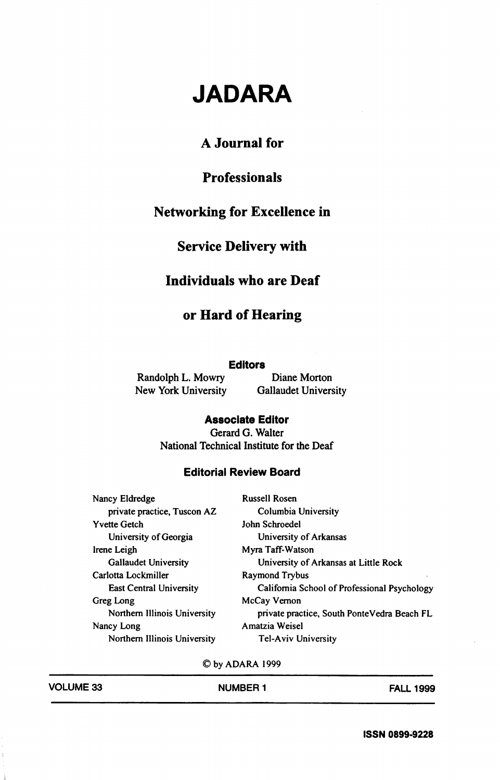# JADARA

### A Journal for

# Professionals

#### Networking for Excellence in

# Service Delivery with

#### Individuals who are Deaf

## or Hard of Hearing

#### Editors

Randolph L. Mowry Diane Morton<br>New York University Gallaudet University New York University

Associate Editor Gerard G. Walter National Technical Institute for the Deaf

#### Editorial Review Board

| Nancy Eldredge                 | <b>Russell Rosen</b>                         |  |
|--------------------------------|----------------------------------------------|--|
| private practice, Tuscon AZ    | Columbia University                          |  |
| <b>Yvette Getch</b>            | John Schroedel                               |  |
| University of Georgia          | University of Arkansas                       |  |
| Irene Leigh                    | Myra Taff-Watson                             |  |
| <b>Gallaudet University</b>    | University of Arkansas at Little Rock        |  |
| Carlotta Lockmiller            | Raymond Trybus                               |  |
| <b>East Central University</b> | California School of Professional Psychology |  |
| Greg Long                      | McCay Vernon                                 |  |
| Northern Illinois University   | private practice, South PonteVedra Beach FL  |  |
| Nancy Long                     | Amatzia Weisel                               |  |
| Northern Illinois University   | <b>Tel-Aviv University</b>                   |  |

©byADARA 1999

| <b>VOLUME 33</b> | <b>NUMBER 1</b> | <b>FALL 1999</b> |
|------------------|-----------------|------------------|
|                  |                 |                  |